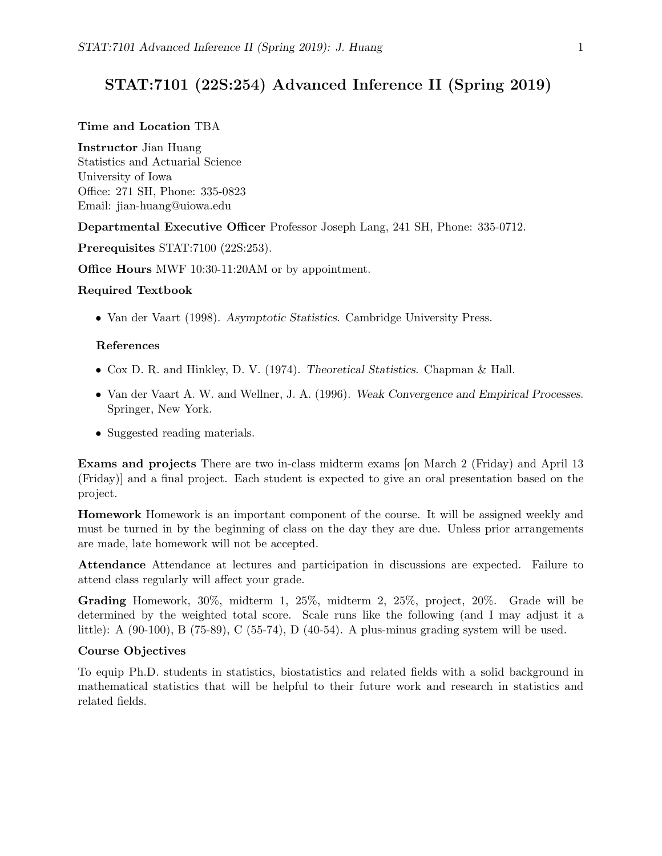# STAT:7101 (22S:254) Advanced Inference II (Spring 2019)

## Time and Location TBA

Instructor Jian Huang Statistics and Actuarial Science University of Iowa Office: 271 SH, Phone: 335-0823 Email: jian-huang@uiowa.edu

Departmental Executive Officer Professor Joseph Lang, 241 SH, Phone: 335-0712.

Prerequisites STAT:7100 (22S:253).

Office Hours MWF 10:30-11:20AM or by appointment.

#### Required Textbook

• Van der Vaart (1998). Asymptotic Statistics. Cambridge University Press.

### References

- Cox D. R. and Hinkley, D. V. (1974). Theoretical Statistics. Chapman & Hall.
- Van der Vaart A. W. and Wellner, J. A. (1996). Weak Convergence and Empirical Processes. Springer, New York.
- Suggested reading materials.

Exams and projects There are two in-class midterm exams [on March 2 (Friday) and April 13 (Friday)] and a final project. Each student is expected to give an oral presentation based on the project.

Homework Homework is an important component of the course. It will be assigned weekly and must be turned in by the beginning of class on the day they are due. Unless prior arrangements are made, late homework will not be accepted.

Attendance Attendance at lectures and participation in discussions are expected. Failure to attend class regularly will affect your grade.

Grading Homework, 30%, midterm 1, 25%, midterm 2, 25%, project, 20%. Grade will be determined by the weighted total score. Scale runs like the following (and I may adjust it a little): A (90-100), B (75-89), C (55-74), D (40-54). A plus-minus grading system will be used.

#### Course Objectives

To equip Ph.D. students in statistics, biostatistics and related fields with a solid background in mathematical statistics that will be helpful to their future work and research in statistics and related fields.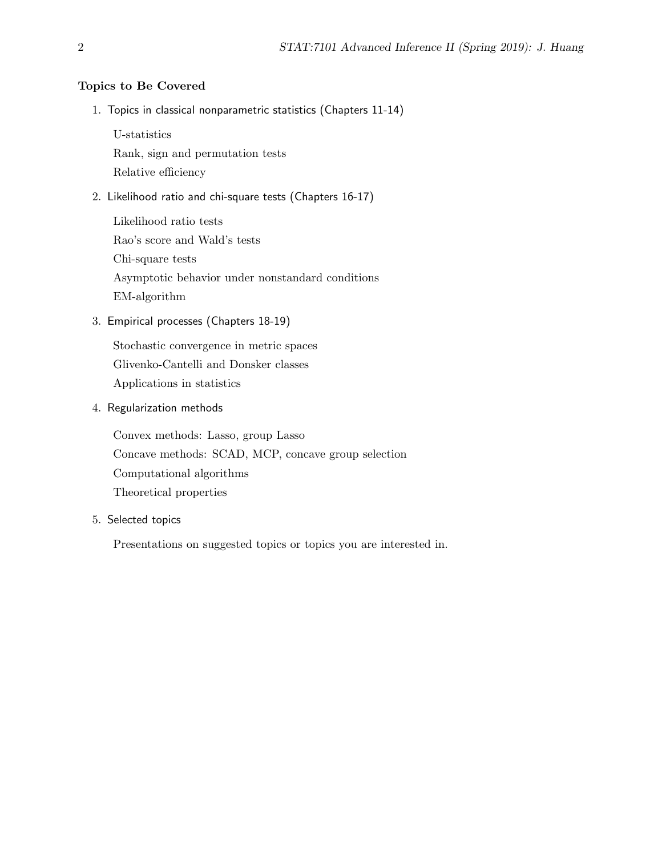## Topics to Be Covered

1. Topics in classical nonparametric statistics (Chapters 11-14)

U-statistics

Rank, sign and permutation tests

Relative efficiency

2. Likelihood ratio and chi-square tests (Chapters 16-17)

Likelihood ratio tests Rao's score and Wald's tests Chi-square tests Asymptotic behavior under nonstandard conditions EM-algorithm

3. Empirical processes (Chapters 18-19)

Stochastic convergence in metric spaces Glivenko-Cantelli and Donsker classes Applications in statistics

4. Regularization methods

Convex methods: Lasso, group Lasso Concave methods: SCAD, MCP, concave group selection Computational algorithms Theoretical properties

5. Selected topics

Presentations on suggested topics or topics you are interested in.